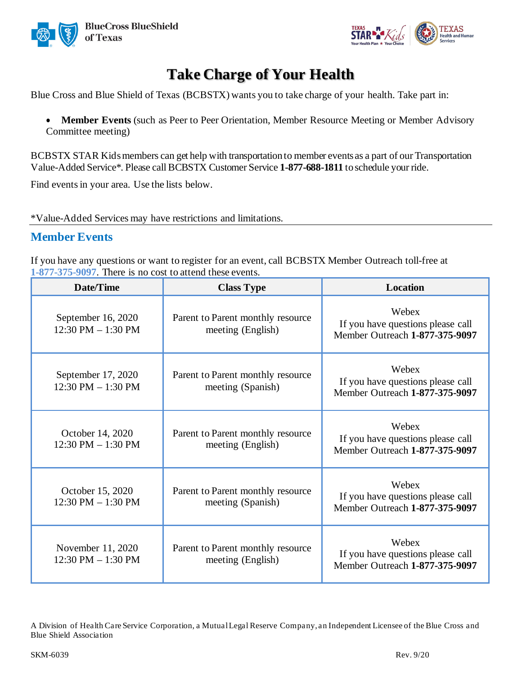



## **Take Charge of Your Health**

Blue Cross and Blue Shield of Texas (BCBSTX) wants you to take charge of your health. Take part in:

• **Member Events** (such as Peer to Peer Orientation, Member Resource Meeting or Member Advisory Committee meeting)

BCBSTX STAR Kids members can get help with transportation to member events as a part of our Transportation Value-Added Service\*. Please call BCBSTX Customer Service **1-877-688-1811** to schedule your ride.

Find events in your area. Use the lists below.

\*Value-Added Services may have restrictions and limitations.

## **Member Events**

If you have any questions or want to register for an event, call BCBSTX Member Outreach toll-free at **1-877-375-9097**. There is no cost to attend these events.

| Date/Time                                  | <b>Class Type</b>                                      | Location                                                                     |
|--------------------------------------------|--------------------------------------------------------|------------------------------------------------------------------------------|
| September 16, 2020<br>12:30 PM - 1:30 PM   | Parent to Parent monthly resource<br>meeting (English) | Webex<br>If you have questions please call<br>Member Outreach 1-877-375-9097 |
| September 17, 2020<br>12:30 PM $-$ 1:30 PM | Parent to Parent monthly resource<br>meeting (Spanish) | Webex<br>If you have questions please call<br>Member Outreach 1-877-375-9097 |
| October 14, 2020<br>12:30 PM - 1:30 PM     | Parent to Parent monthly resource<br>meeting (English) | Webex<br>If you have questions please call<br>Member Outreach 1-877-375-9097 |
| October 15, 2020<br>12:30 PM - 1:30 PM     | Parent to Parent monthly resource<br>meeting (Spanish) | Webex<br>If you have questions please call<br>Member Outreach 1-877-375-9097 |
| November 11, 2020<br>12:30 PM $-$ 1:30 PM  | Parent to Parent monthly resource<br>meeting (English) | Webex<br>If you have questions please call<br>Member Outreach 1-877-375-9097 |

A Division of Health Care Service Corporation, a Mutual Legal Reserve Company, an Independent Licensee of the Blue Cross and Blue Shield Association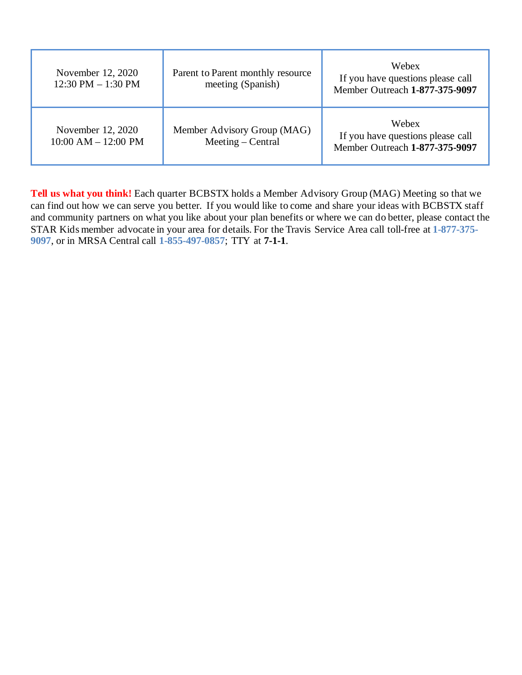| November 12, 2020<br>12:30 PM $-$ 1:30 PM    | Parent to Parent monthly resource<br>meeting (Spanish) | Webex<br>If you have questions please call<br>Member Outreach 1-877-375-9097 |
|----------------------------------------------|--------------------------------------------------------|------------------------------------------------------------------------------|
| November 12, 2020<br>$10:00$ AM $- 12:00$ PM | Member Advisory Group (MAG)<br>Meeting – Central       | Webex<br>If you have questions please call<br>Member Outreach 1-877-375-9097 |

**Tell us what you think!** Each quarter BCBSTX holds a Member Advisory Group (MAG) Meeting so that we can find out how we can serve you better. If you would like to come and share your ideas with BCBSTX staff and community partners on what you like about your plan benefits or where we can do better, please contact the STAR Kids member advocate in your area for details. For the Travis Service Area call toll-free at **1-877-375- 9097**, or in MRSA Central call **1-855-497-0857**; TTY at **7-1-1**.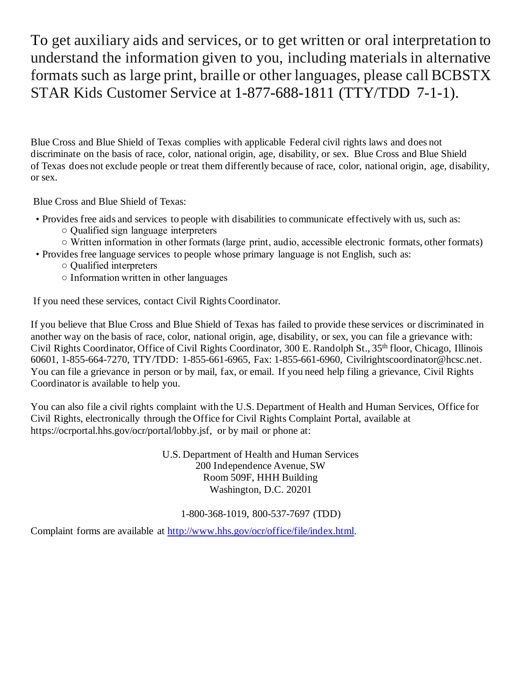To get auxiliary aids and services, or to get written or oral interpretation to understand the information given to you, including materials in alternative formats such as large print, braille or other languages, please call BCBSTX STAR Kids Customer Service at 1-877-688-1811 (TTY/TDD 7-1-1).

Blue Cross and Blue Shield of Texas complies with applicable Federal civil rights laws and does not discriminate on the basis of race, color, national origin, age, disability, or sex. Blue Cross and Blue Shield of Texas does not exclude people or treat them differently because of race, color, national origin, age, disability, or sex.

Blue Cross and Blue Shield of Texas:

- Provides free aids and services to people with disabilities to communicate effectively with us, such as:
	- Qualified sign language interpreters
	- Written information in other formats (large print, audio, accessible electronic formats, other formats)
- Provides free language services to people whose primary language is not English, such as:
	- Qualified interpreters
	- Information written in other languages

If you need these services, contact Civil Rights Coordinator.

If you believe that Blue Cross and Blue Shield of Texas has failed to provide these services or discriminated in another way on the basis of race, color, national origin, age, disability, or sex, you can file a grievance with: Civil Rights Coordinator, Office of Civil Rights Coordinator, 300 E. Randolph St., 35th floor, Chicago, Illinois 60601, 1-855-664-7270, TTY/TDD: 1-855-661-6965, Fax: 1-855-661-6960, Civilrightscoordinator@hcsc.net. You can file a grievance in person or by mail, fax, or email. If you need help filing a grievance, Civil Rights Coordinator is available to help you.

You can also file a civil rights complaint with the U.S. Department of Health and Human Services, Office for Civil Rights, electronically through the Office for Civil Rights Complaint Portal, available at https://ocrportal.hhs.gov/ocr/portal/lobby.jsf, or by mail or phone at:

> U.S. Department of Health and Human Services 200 Independence Avenue, SW Room 509F, HHH Building Washington, D.C. 20201

## 1-800-368-1019, 800-537-7697 (TDD)

Complaint forms are available at [http://www.hhs.gov/ocr/office/file/index.html.](http://www.hhs.gov/ocr/office/file/index.html)